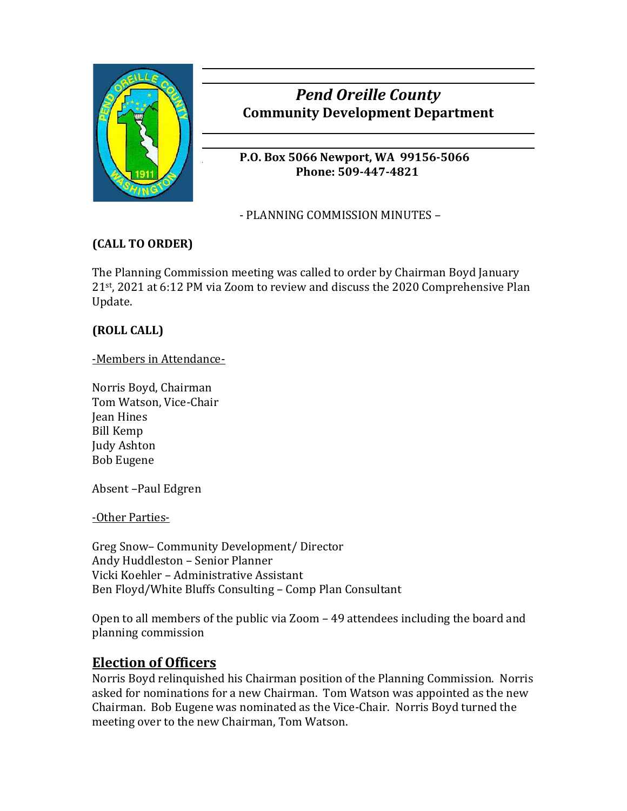

# *Pend Oreille County* **Community Development Department**

**P.O. Box 5066 Newport, WA 99156-5066 Phone: 509-447-4821**

- PLANNING COMMISSION MINUTES –

### **(CALL TO ORDER)**

The Planning Commission meeting was called to order by Chairman Boyd January 21st , 2021 at 6:12 PM via Zoom to review and discuss the 2020 Comprehensive Plan Update.

### **(ROLL CALL)**

-Members in Attendance-

Norris Boyd, Chairman Tom Watson, Vice-Chair Jean Hines Bill Kemp Judy Ashton Bob Eugene

Absent –Paul Edgren

-Other Parties-

Greg Snow– Community Development/ Director Andy Huddleston – Senior Planner Vicki Koehler – Administrative Assistant Ben Floyd/White Bluffs Consulting – Comp Plan Consultant

Open to all members of the public via Zoom – 49 attendees including the board and planning commission

### **Election of Officers**

Norris Boyd relinquished his Chairman position of the Planning Commission. Norris asked for nominations for a new Chairman. Tom Watson was appointed as the new Chairman. Bob Eugene was nominated as the Vice-Chair. Norris Boyd turned the meeting over to the new Chairman, Tom Watson.